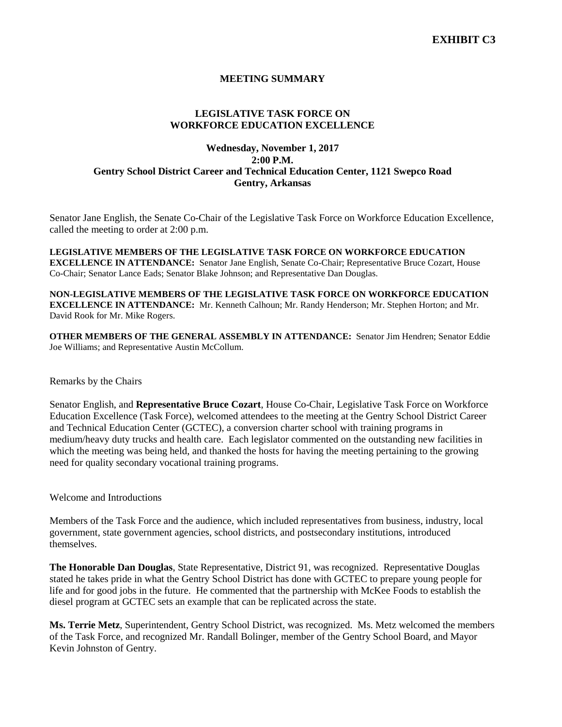# **MEETING SUMMARY**

# **LEGISLATIVE TASK FORCE ON WORKFORCE EDUCATION EXCELLENCE**

# **Wednesday, November 1, 2017 2:00 P.M. Gentry School District Career and Technical Education Center, 1121 Swepco Road Gentry, Arkansas**

Senator Jane English, the Senate Co-Chair of the Legislative Task Force on Workforce Education Excellence, called the meeting to order at 2:00 p.m.

**LEGISLATIVE MEMBERS OF THE LEGISLATIVE TASK FORCE ON WORKFORCE EDUCATION EXCELLENCE IN ATTENDANCE:** Senator Jane English, Senate Co-Chair; Representative Bruce Cozart, House Co-Chair; Senator Lance Eads; Senator Blake Johnson; and Representative Dan Douglas.

**NON-LEGISLATIVE MEMBERS OF THE LEGISLATIVE TASK FORCE ON WORKFORCE EDUCATION EXCELLENCE IN ATTENDANCE:** Mr. Kenneth Calhoun; Mr. Randy Henderson; Mr. Stephen Horton; and Mr. David Rook for Mr. Mike Rogers.

**OTHER MEMBERS OF THE GENERAL ASSEMBLY IN ATTENDANCE:** Senator Jim Hendren; Senator Eddie Joe Williams; and Representative Austin McCollum.

Remarks by the Chairs

Senator English, and **Representative Bruce Cozart**, House Co-Chair, Legislative Task Force on Workforce Education Excellence (Task Force), welcomed attendees to the meeting at the Gentry School District Career and Technical Education Center (GCTEC), a conversion charter school with training programs in medium/heavy duty trucks and health care. Each legislator commented on the outstanding new facilities in which the meeting was being held, and thanked the hosts for having the meeting pertaining to the growing need for quality secondary vocational training programs.

Welcome and Introductions

Members of the Task Force and the audience, which included representatives from business, industry, local government, state government agencies, school districts, and postsecondary institutions, introduced themselves.

**The Honorable Dan Douglas**, State Representative, District 91, was recognized. Representative Douglas stated he takes pride in what the Gentry School District has done with GCTEC to prepare young people for life and for good jobs in the future. He commented that the partnership with McKee Foods to establish the diesel program at GCTEC sets an example that can be replicated across the state.

**Ms. Terrie Metz**, Superintendent, Gentry School District, was recognized. Ms. Metz welcomed the members of the Task Force, and recognized Mr. Randall Bolinger, member of the Gentry School Board, and Mayor Kevin Johnston of Gentry.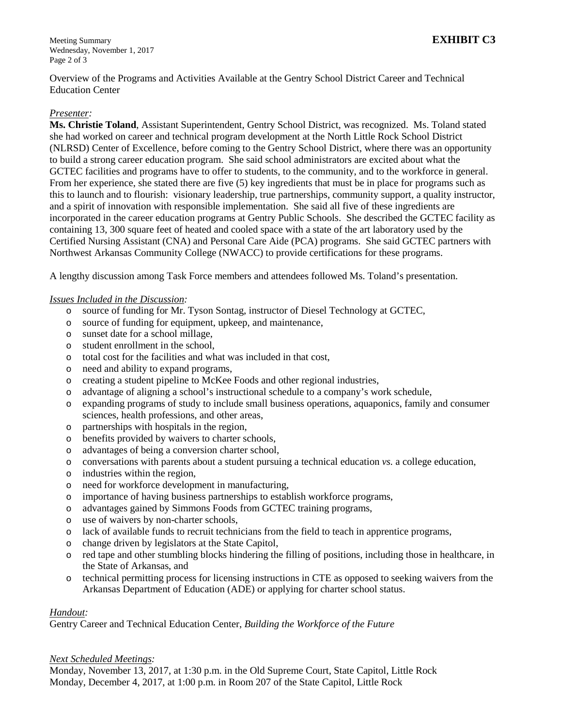Meeting Summary **EXHIBIT C3** Wednesday, November 1, 2017 Page 2 of 3

Overview of the Programs and Activities Available at the Gentry School District Career and Technical Education Center

# *Presenter:*

**Ms. Christie Toland**, Assistant Superintendent, Gentry School District, was recognized. Ms. Toland stated she had worked on career and technical program development at the North Little Rock School District (NLRSD) Center of Excellence, before coming to the Gentry School District, where there was an opportunity to build a strong career education program. She said school administrators are excited about what the GCTEC facilities and programs have to offer to students, to the community, and to the workforce in general. From her experience, she stated there are five (5) key ingredients that must be in place for programs such as this to launch and to flourish: visionary leadership, true partnerships, community support, a quality instructor, and a spirit of innovation with responsible implementation. She said all five of these ingredients are incorporated in the career education programs at Gentry Public Schools. She described the GCTEC facility as containing 13, 300 square feet of heated and cooled space with a state of the art laboratory used by the Certified Nursing Assistant (CNA) and Personal Care Aide (PCA) programs. She said GCTEC partners with Northwest Arkansas Community College (NWACC) to provide certifications for these programs.

A lengthy discussion among Task Force members and attendees followed Ms. Toland's presentation.

#### *Issues Included in the Discussion:*

- o source of funding for Mr. Tyson Sontag, instructor of Diesel Technology at GCTEC,
- o source of funding for equipment, upkeep, and maintenance,
- o sunset date for a school millage,
- o student enrollment in the school,
- o total cost for the facilities and what was included in that cost,
- o need and ability to expand programs,
- o creating a student pipeline to McKee Foods and other regional industries,
- o advantage of aligning a school's instructional schedule to a company's work schedule,
- o expanding programs of study to include small business operations, aquaponics, family and consumer sciences, health professions, and other areas,
- o partnerships with hospitals in the region,
- o benefits provided by waivers to charter schools,
- o advantages of being a conversion charter school,
- o conversations with parents about a student pursuing a technical education *vs.* a college education,
- o industries within the region,
- o need for workforce development in manufacturing,
- o importance of having business partnerships to establish workforce programs,
- o advantages gained by Simmons Foods from GCTEC training programs,
- o use of waivers by non-charter schools,
- o lack of available funds to recruit technicians from the field to teach in apprentice programs,
- o change driven by legislators at the State Capitol,
- o red tape and other stumbling blocks hindering the filling of positions, including those in healthcare, in the State of Arkansas, and
- o technical permitting process for licensing instructions in CTE as opposed to seeking waivers from the Arkansas Department of Education (ADE) or applying for charter school status.

### *Handout:*

Gentry Career and Technical Education Center, *Building the Workforce of the Future*

# *Next Scheduled Meetings:*

Monday, November 13, 2017, at 1:30 p.m. in the Old Supreme Court, State Capitol, Little Rock Monday, December 4, 2017, at 1:00 p.m. in Room 207 of the State Capitol, Little Rock